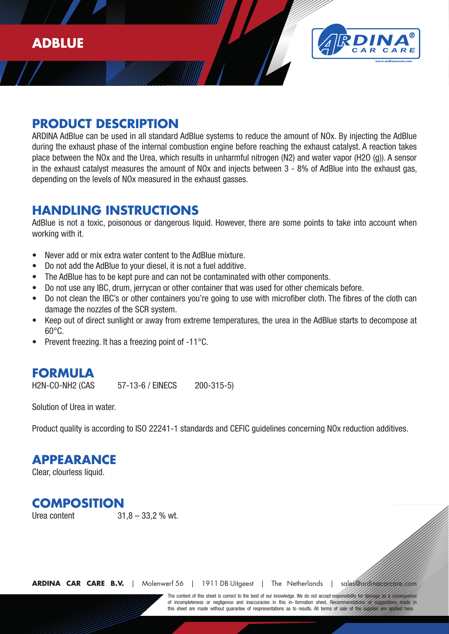

## **PRODUCT DESCRIPTION**

**P**<br>AF<br>Dia ARDINA AdBlue can be used in all standard AdBlue systems to reduce the amount of NOx. By injecting the AdBlue during the exhaust phase of the internal combustion engine before reaching the exhaust catalyst. A reaction takes place between the NOx and the Urea, which results in unharmful nitrogen (N2) and water vapor (H2O (g)). A sensor in the exhaust catalyst measures the amount of NOx and injects between 3 - 8% of AdBlue into the exhaust gas, depending on the levels of NOx measured in the exhaust gasses.

#### **HANDLING INSTRUCTIONS**

AdBlue is not a toxic, poisonous or dangerous liquid. However, there are some points to take into account when working with it.

- Never add or mix extra water content to the AdBlue mixture.
- Do not add the AdBlue to your diesel, it is not a fuel additive.
- The AdBlue has to be kept pure and can not be contaminated with other components.
- Do not use any IBC, drum, jerrycan or other container that was used for other chemicals before.
- Do not clean the IBC's or other containers you're going to use with microfiber cloth. The fibres of the cloth can damage the nozzles of the SCR system.
- Keep out of direct sunlight or away from extreme temperatures, the urea in the AdBlue starts to decompose at 60°C.
- Prevent freezing. It has a freezing point of -11°C.

# **FORMULA**

H2N-CO-NH2 (CAS 57-13-6 / EINECS 200-315-5)

Solution of Urea in water.

Product quality is according to ISO 22241-1 standards and CEFIC guidelines concerning NOx reduction additives.

#### **APPEARANCE**

Clear, clourless liquid.

# **COMPOSITION**

Urea content 31,8 – 33,2 % wt.

**ARDINA CAR CARE B.V.** | Molenwerf 56 | 1911 DB Uitgeest | The Netherlands | sales@ardina

of incompleteness or negligence and inaccuracies in this in-formation sheet. Recommendations or suggestions made in The content of this sheet is correct to the best of our knowledge. We do not accept responsibility this sheet are made without quarantee of respresentations as to results. All terms of sale of